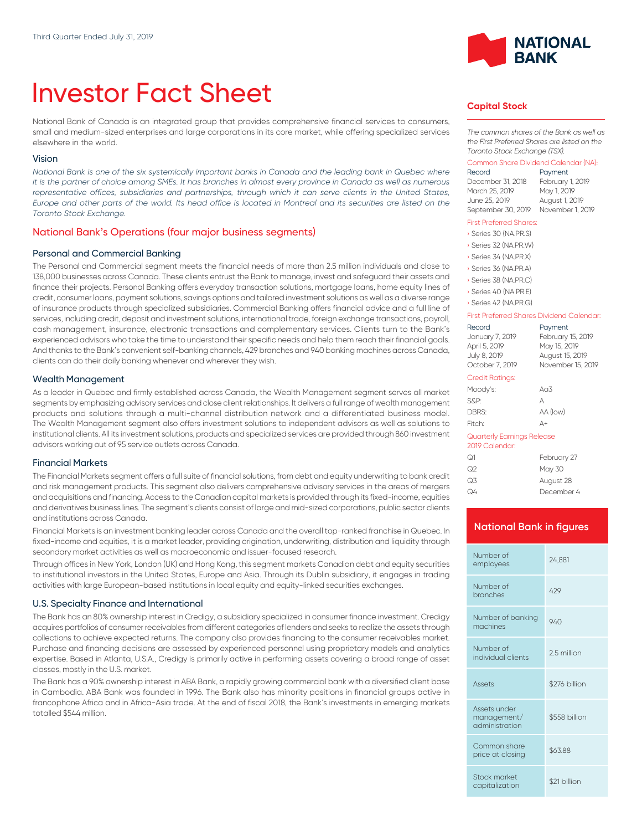# Investor Fact Sheet

National Bank of Canada is an integrated group that provides comprehensive financial services to consumers, small and medium-sized enterprises and large corporations in its core market, while offering specialized services elsewhere in the world.

#### Vision

*National Bank is one of the six systemically important banks in Canada and the leading bank in Quebec where it is the partner of choice among SMEs. It has branches in almost every province in Canada as well as numerous* representative offices, subsidiaries and partnerships, through which it can serve clients in the United States, *Europe and other parts of the world. Its head office is located in Montreal and its securities are listed on the Toronto Stock Exchange.*

## National Bank's Operations (four major business segments)

### Personal and Commercial Banking

The Personal and Commercial segment meets the financial needs of more than 2.5 million individuals and close to 138,000 businesses across Canada. These clients entrust the Bank to manage, invest and safeguard their assets and finance their projects. Personal Banking offers everyday transaction solutions, mortgage loans, home equity lines of credit, consumer loans, payment solutions, savings options and tailored investment solutions as well as a diverse range of insurance products through specialized subsidiaries. Commercial Banking offers financial advice and a full line of services, including credit, deposit and investment solutions, international trade, foreign exchange transactions, payroll, cash management, insurance, electronic transactions and complementary services. Clients turn to the Bank's experienced advisors who take the time to understand their specific needs and help them reach their financial goals. And thanks to the Bank's convenient self-banking channels, 429 branches and 940 banking machines across Canada, clients can do their daily banking whenever and wherever they wish.

#### Wealth Management

As a leader in Quebec and firmly established across Canada, the Wealth Management segment serves all market segments by emphasizing advisory services and close client relationships. lt delivers a full range of wealth management products and solutions through a multi-channel distribution network and a differentiated business model. The Wealth Management segment also offers investment solutions to independent advisors as well as solutions to institutional clients. All its investment solutions, products and specialized services are provided through 860 investment advisors working out of 95 service outlets across Canada.

#### Financial Markets

The Financial Markets segment offers a full suite of financial solutions, from debt and equity underwriting to bank credit and risk management products. This segment also delivers comprehensive advisory services in the areas of mergers and acquisitions and financing. Access to the Canadian capital markets is provided through its fixed-income, equities and derivatives business lines. The segment's clients consist of large and mid-sized corporations, public sector clients and institutions across Canada.

Financial Markets is an investment banking leader across Canada and the overall top-ranked franchise in Quebec. In fixed-income and equities, it is a market leader, providing origination, underwriting, distribution and liquidity through secondary market activities as well as macroeconomic and issuer-focused research.

Through offices in New York, London (UK) and Hong Kong, this segment markets Canadian debt and equity securities to institutional investors in the United States, Europe and Asia. Through its Dublin subsidiary, it engages in trading activities with large European-based institutions in local equity and equity-linked securities exchanges.

## U.S. Specialty Finance and International

The Bank has an 80% ownership interest in Credigy, a subsidiary specialized in consumer finance investment. Credigy acquires portfolios of consumer receivables from different categories of lenders and seeks to realize the assets through collections to achieve expected returns. The company also provides financing to the consumer receivables market. Purchase and financing decisions are assessed by experienced personnel using proprietary models and analytics expertise. Based in Atlanta, U.S.A., Credigy is primarily active in performing assets covering a broad range of asset classes, mostly in the U.S. market.

The Bank has a 90% ownership interest in ABA Bank, a rapidly growing commercial bank with a diversified client base in Cambodia. ABA Bank was founded in 1996. The Bank also has minority positions in financial groups active in francophone Africa and in Africa-Asia trade. At the end of fiscal 2018, the Bank's investments in emerging markets totalled \$544 million.



## **Capital Stock**

*The common shares of the Bank as well as the First Preferred Shares are listed on the Toronto Stock Exchange (TSX).*

#### Common Share Dividend Calendar (NA):

| Record             | Payment          |
|--------------------|------------------|
| December 31, 2018  | February 1, 2019 |
| March 25, 2019     | May 1, 2019      |
| June 25, 2019      | August 1, 2019   |
| September 30, 2019 | November 1, 2019 |

#### First Preferred Shares:

| Series 30 (NA.PR.S)   |
|-----------------------|
| Series 32 (NA, PR, W) |
| Series 34 (NA, PR, X) |
| Series 36 (NA.PR.A)   |
| Series 38 (NA, PR, C) |
| Series 40 (NA.PR.E)   |
| Series 42 (NA PRG)    |

#### First Preferred Shares Dividend Calendar:

| Record<br>January 7, 2019                    | Payment<br>February 15, 2019 |
|----------------------------------------------|------------------------------|
| April 5, 2019                                | May 15, 2019                 |
| July 8, 2019                                 | August 15, 2019              |
| October 7, 2019                              | November 15, 2019            |
| <b>Credit Ratings:</b>                       |                              |
| Moody's:                                     | A <sub>0</sub> 3             |
| S&P:                                         | А                            |
| DBRS:                                        | AA (low)                     |
| Fitch:                                       | Д+                           |
| Quarterly Earnings Release<br>2019 Calendar: |                              |
| $\sim$                                       | <b>PULLER</b>                |

| ೧1 | February 27 |
|----|-------------|
| ೧೭ | May 30      |
| Q3 | August 28   |
| Q4 | December 4  |

## **National Bank in figures**

| Number of<br>employees                        | 24.881        |
|-----------------------------------------------|---------------|
| Number of<br>branches                         | 429           |
| Number of banking<br>machines                 | 940           |
| Number of<br>individual clients               | 2.5 million   |
| <b>Assets</b>                                 | \$276 billion |
| Assets under<br>management/<br>administration | \$558 billion |
| Common share                                  | \$63.88       |
| price at closing                              |               |